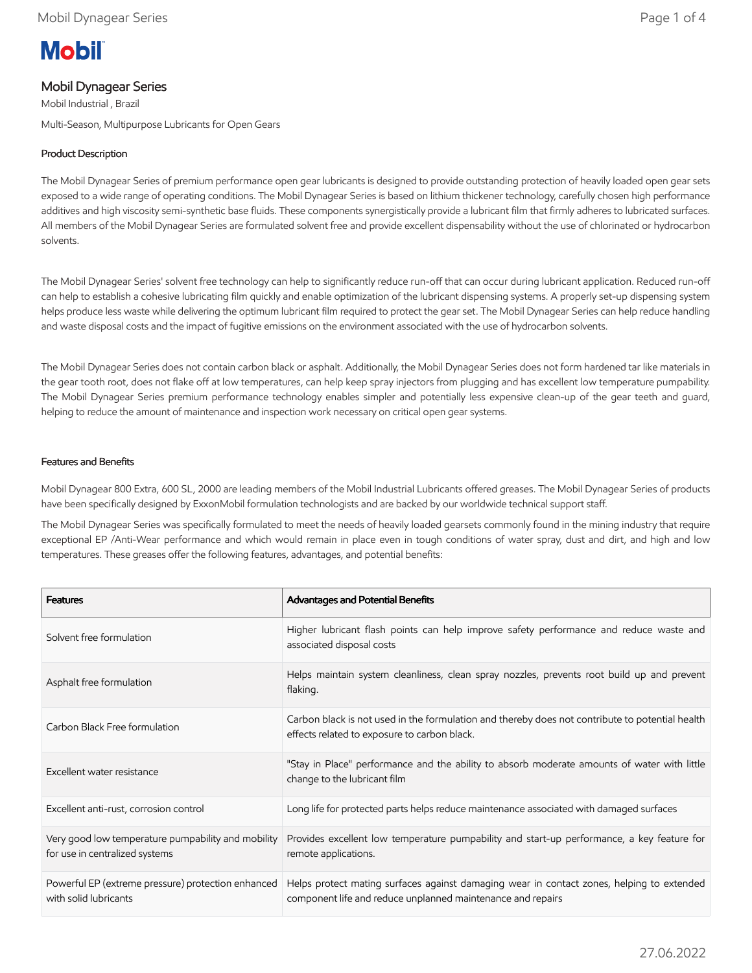# **Mobil**

## Mobil Dynagear Series

Mobil Industrial , Brazil

Multi-Season, Multipurpose Lubricants for Open Gears

## Product Description

The Mobil Dynagear Series of premium performance open gear lubricants is designed to provide outstanding protection of heavily loaded open gear sets exposed to a wide range of operating conditions. The Mobil Dynagear Series is based on lithium thickener technology, carefully chosen high performance additives and high viscosity semi-synthetic base fluids. These components synergistically provide a lubricant film that firmly adheres to lubricated surfaces. All members of the Mobil Dynagear Series are formulated solvent free and provide excellent dispensability without the use of chlorinated or hydrocarbon solvents.

The Mobil Dynagear Series' solvent free technology can help to significantly reduce run-off that can occur during lubricant application. Reduced run-off can help to establish a cohesive lubricating film quickly and enable optimization of the lubricant dispensing systems. A properly set-up dispensing system helps produce less waste while delivering the optimum lubricant film required to protect the gear set. The Mobil Dynagear Series can help reduce handling and waste disposal costs and the impact of fugitive emissions on the environment associated with the use of hydrocarbon solvents.

The Mobil Dynagear Series does not contain carbon black or asphalt. Additionally, the Mobil Dynagear Series does not form hardened tar like materials in the gear tooth root, does not flake off at low temperatures, can help keep spray injectors from plugging and has excellent low temperature pumpability. The Mobil Dynagear Series premium performance technology enables simpler and potentially less expensive clean-up of the gear teeth and guard, helping to reduce the amount of maintenance and inspection work necessary on critical open gear systems.

## Features and Benefits

Mobil Dynagear 800 Extra, 600 SL, 2000 are leading members of the Mobil Industrial Lubricants offered greases. The Mobil Dynagear Series of products have been specifically designed by ExxonMobil formulation technologists and are backed by our worldwide technical support staff.

The Mobil Dynagear Series was specifically formulated to meet the needs of heavily loaded gearsets commonly found in the mining industry that require exceptional EP /Anti-Wear performance and which would remain in place even in tough conditions of water spray, dust and dirt, and high and low temperatures. These greases offer the following features, advantages, and potential benefits:

| <b>Features</b>                                                                      | <b>Advantages and Potential Benefits</b>                                                                                                                 |
|--------------------------------------------------------------------------------------|----------------------------------------------------------------------------------------------------------------------------------------------------------|
| Solvent free formulation                                                             | Higher lubricant flash points can help improve safety performance and reduce waste and<br>associated disposal costs                                      |
| Asphalt free formulation                                                             | Helps maintain system cleanliness, clean spray nozzles, prevents root build up and prevent<br>flaking.                                                   |
| Carbon Black Free formulation                                                        | Carbon black is not used in the formulation and thereby does not contribute to potential health<br>effects related to exposure to carbon black.          |
| Excellent water resistance                                                           | "Stay in Place" performance and the ability to absorb moderate amounts of water with little<br>change to the lubricant film                              |
| Excellent anti-rust, corrosion control                                               | Long life for protected parts helps reduce maintenance associated with damaged surfaces                                                                  |
| Very good low temperature pumpability and mobility<br>for use in centralized systems | Provides excellent low temperature pumpability and start-up performance, a key feature for<br>remote applications.                                       |
| Powerful EP (extreme pressure) protection enhanced<br>with solid lubricants          | Helps protect mating surfaces against damaging wear in contact zones, helping to extended<br>component life and reduce unplanned maintenance and repairs |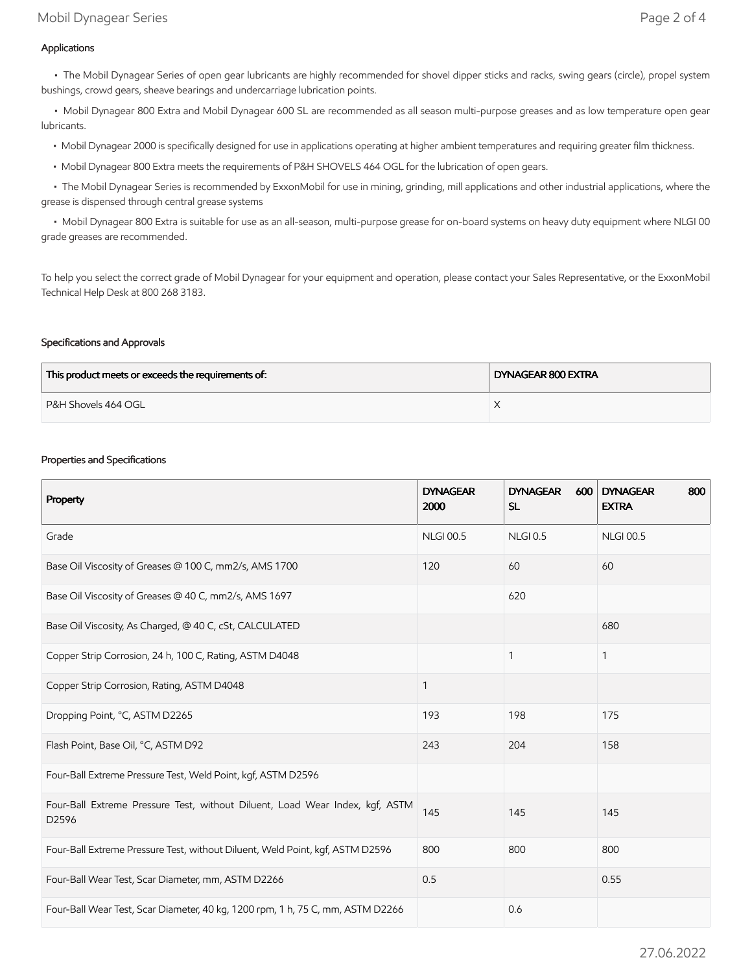## Applications

 • The Mobil Dynagear Series of open gear lubricants are highly recommended for shovel dipper sticks and racks, swing gears (circle), propel system bushings, crowd gears, sheave bearings and undercarriage lubrication points.

 • Mobil Dynagear 800 Extra and Mobil Dynagear 600 SL are recommended as all season multi-purpose greases and as low temperature open gear lubricants.

- Mobil Dynagear 2000 is specifically designed for use in applications operating at higher ambient temperatures and requiring greater film thickness.
- Mobil Dynagear 800 Extra meets the requirements of P&H SHOVELS 464 OGL for the lubrication of open gears.

 • The Mobil Dynagear Series is recommended by ExxonMobil for use in mining, grinding, mill applications and other industrial applications, where the grease is dispensed through central grease systems

 • Mobil Dynagear 800 Extra is suitable for use as an all-season, multi-purpose grease for on-board systems on heavy duty equipment where NLGI 00 grade greases are recommended.

To help you select the correct grade of Mobil Dynagear for your equipment and operation, please contact your Sales Representative, or the ExxonMobil Technical Help Desk at 800 268 3183.

## Specifications and Approvals

| This product meets or exceeds the requirements of: | DYNAGEAR 800 EXTRA |  |
|----------------------------------------------------|--------------------|--|
| P&H Shovels 464 OGL                                |                    |  |

#### Properties and Specifications

| Property                                                                              | <b>DYNAGEAR</b><br>2000 | <b>DYNAGEAR</b><br>600<br><b>SL</b> | <b>DYNAGEAR</b><br>800<br><b>EXTRA</b> |
|---------------------------------------------------------------------------------------|-------------------------|-------------------------------------|----------------------------------------|
| Grade                                                                                 | <b>NLGI 00.5</b>        | <b>NLGI 0.5</b>                     | <b>NLGI 00.5</b>                       |
| Base Oil Viscosity of Greases @ 100 C, mm2/s, AMS 1700                                | 120                     | 60                                  | 60                                     |
| Base Oil Viscosity of Greases @ 40 C, mm2/s, AMS 1697                                 |                         | 620                                 |                                        |
| Base Oil Viscosity, As Charged, @ 40 C, cSt, CALCULATED                               |                         |                                     | 680                                    |
| Copper Strip Corrosion, 24 h, 100 C, Rating, ASTM D4048                               |                         | 1                                   | $\mathbf{1}$                           |
| Copper Strip Corrosion, Rating, ASTM D4048                                            | 1                       |                                     |                                        |
| Dropping Point, °C, ASTM D2265                                                        | 193                     | 198                                 | 175                                    |
| Flash Point, Base Oil, °C, ASTM D92                                                   | 243                     | 204                                 | 158                                    |
| Four-Ball Extreme Pressure Test, Weld Point, kgf, ASTM D2596                          |                         |                                     |                                        |
| Four-Ball Extreme Pressure Test, without Diluent, Load Wear Index, kgf, ASTM<br>D2596 | 145                     | 145                                 | 145                                    |
| Four-Ball Extreme Pressure Test, without Diluent, Weld Point, kgf, ASTM D2596         | 800                     | 800                                 | 800                                    |
| Four-Ball Wear Test, Scar Diameter, mm, ASTM D2266                                    | 0.5                     |                                     | 0.55                                   |
| Four-Ball Wear Test, Scar Diameter, 40 kg, 1200 rpm, 1 h, 75 C, mm, ASTM D2266        |                         | 0.6                                 |                                        |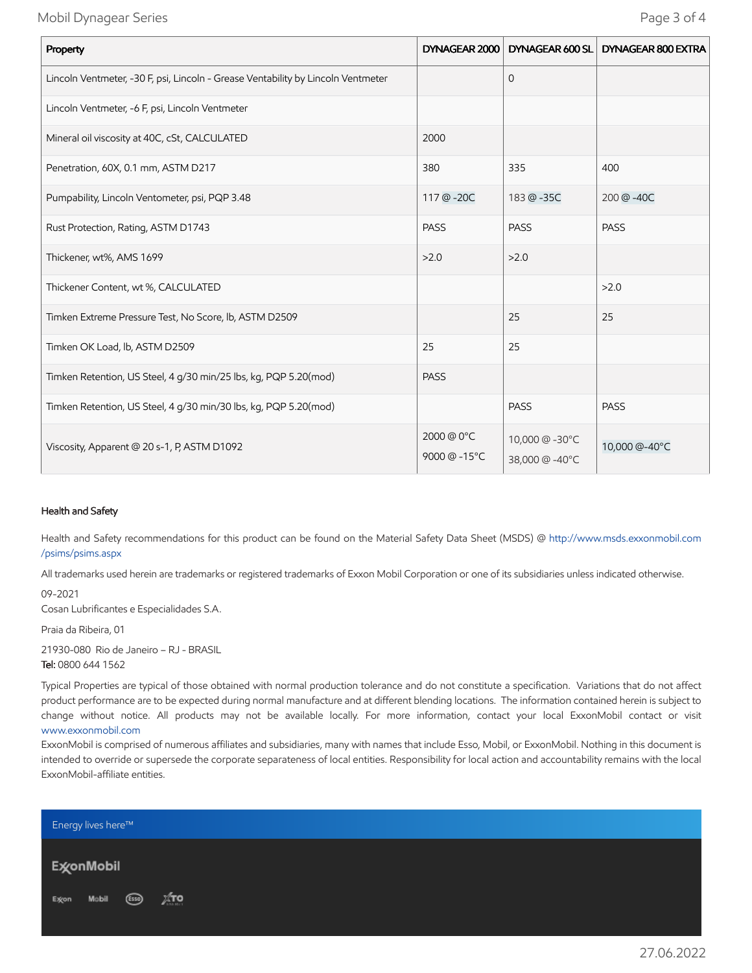Mobil Dynagear Series Page 3 of 4

| Property                                                                         |                           | DYNAGEAR 2000   DYNAGEAR 600 SL  | DYNAGEAR 800 EXTRA |
|----------------------------------------------------------------------------------|---------------------------|----------------------------------|--------------------|
| Lincoln Ventmeter, -30 F, psi, Lincoln - Grease Ventability by Lincoln Ventmeter |                           | $\mathbf{0}$                     |                    |
| Lincoln Ventmeter, -6 F, psi, Lincoln Ventmeter                                  |                           |                                  |                    |
| Mineral oil viscosity at 40C, cSt, CALCULATED                                    | 2000                      |                                  |                    |
| Penetration, 60X, 0.1 mm, ASTM D217                                              | 380                       | 335                              | 400                |
| Pumpability, Lincoln Ventometer, psi, PQP 3.48                                   | 117 @ -20C                | 183 @ -35C                       | 200 @-40C          |
| Rust Protection, Rating, ASTM D1743                                              | <b>PASS</b>               | <b>PASS</b>                      | <b>PASS</b>        |
| Thickener, wt%, AMS 1699                                                         | >2.0                      | >2.0                             |                    |
| Thickener Content, wt %, CALCULATED                                              |                           |                                  | >2.0               |
| Timken Extreme Pressure Test, No Score, lb, ASTM D2509                           |                           | 25                               | 25                 |
| Timken OK Load, lb, ASTM D2509                                                   | 25                        | 25                               |                    |
| Timken Retention, US Steel, 4 g/30 min/25 lbs, kg, PQP 5.20(mod)                 | <b>PASS</b>               |                                  |                    |
| Timken Retention, US Steel, 4 g/30 min/30 lbs, kg, PQP 5.20(mod)                 |                           | <b>PASS</b>                      | <b>PASS</b>        |
| Viscosity, Apparent @ 20 s-1, P, ASTM D1092                                      | 2000 @ 0°C<br>9000 @-15°C | 10,000 @ -30°C<br>38,000 @ -40°C | 10,000 @-40°C      |

#### Health and Safety

Health and Safety recommendations for this product can be found on the Material Safety Data Sheet (MSDS) @ [http://www.msds.exxonmobil.com](http://www.msds.exxonmobil.com/psims/psims.aspx) /psims/psims.aspx

All trademarks used herein are trademarks or registered trademarks of Exxon Mobil Corporation or one of its subsidiaries unless indicated otherwise.

09-2021 Cosan Lubrificantes e Especialidades S.A.

Praia da Ribeira, 01

21930-080 Rio de Janeiro – RJ - BRASIL Tel: 0800 644 1562

Typical Properties are typical of those obtained with normal production tolerance and do not constitute a specification. Variations that do not affect product performance are to be expected during normal manufacture and at different blending locations. The information contained herein is subject to change without notice. All products may not be available locally. For more information, contact your local ExxonMobil contact or visit [www.exxonmobil.com](http://www.exxonmobil.com/)

ExxonMobil is comprised of numerous affiliates and subsidiaries, many with names that include Esso, Mobil, or ExxonMobil. Nothing in this document is intended to override or supersede the corporate separateness of local entities. Responsibility for local action and accountability remains with the local ExxonMobil-affiliate entities.